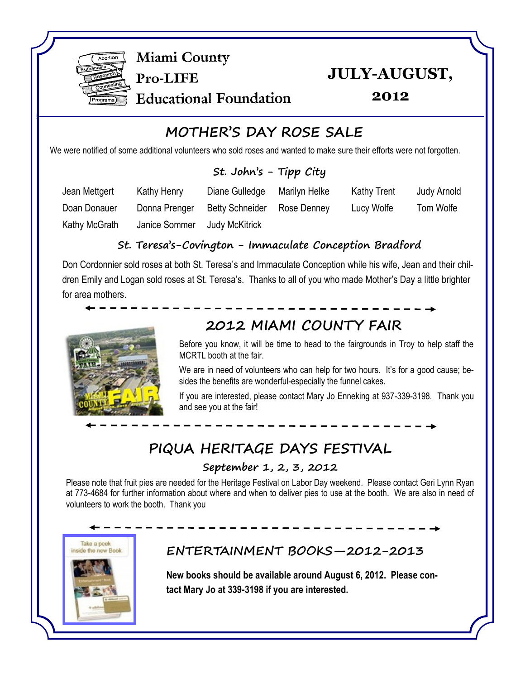

**Miami County** 

Pro-LIFE

**JULY-AUGUST,** 

**Educational Foundation** 

**2012**

# **MOTHER'S DAY ROSE SALE**

We were notified of some additional volunteers who sold roses and wanted to make sure their efforts were not forgotten.

#### **St. John's - Tipp City**

| Jean Mettgert | Kathy Henry   | Diane Gulledge         | Marilyn Helke | <b>Kathy Trent</b> | Judy Arnold |
|---------------|---------------|------------------------|---------------|--------------------|-------------|
| Doan Donauer  | Donna Prenger | <b>Betty Schneider</b> | Rose Denney   | Lucy Wolfe         | Tom Wolfe   |
| Kathy McGrath | Janice Sommer | <b>Judy McKitrick</b>  |               |                    |             |

#### **St. Teresa's-Covington - Immaculate Conception Bradford**

Don Cordonnier sold roses at both St. Teresa's and Immaculate Conception while his wife, Jean and their children Emily and Logan sold roses at St. Teresa's. Thanks to all of you who made Mother's Day a little brighter for area mothers.



# **2012 MIAMI COUNTY FAIR**

Before you know, it will be time to head to the fairgrounds in Troy to help staff the MCRTL booth at the fair.

We are in need of volunteers who can help for two hours. It's for a good cause; besides the benefits are wonderful-especially the funnel cakes.

If you are interested, please contact Mary Jo Enneking at 937-339-3198. Thank you and see you at the fair!

## **PIQUA HERITAGE DAYS FESTIVAL**

#### **September 1, 2, 3, 2012**

Please note that fruit pies are needed for the Heritage Festival on Labor Day weekend. Please contact Geri Lynn Ryan at 773-4684 for further information about where and when to deliver pies to use at the booth. We are also in need of volunteers to work the booth. Thank you



### **ENTERTAINMENT BOOKS—2012-2013**

**New books should be available around August 6, 2012. Please contact Mary Jo at 339-3198 if you are interested.**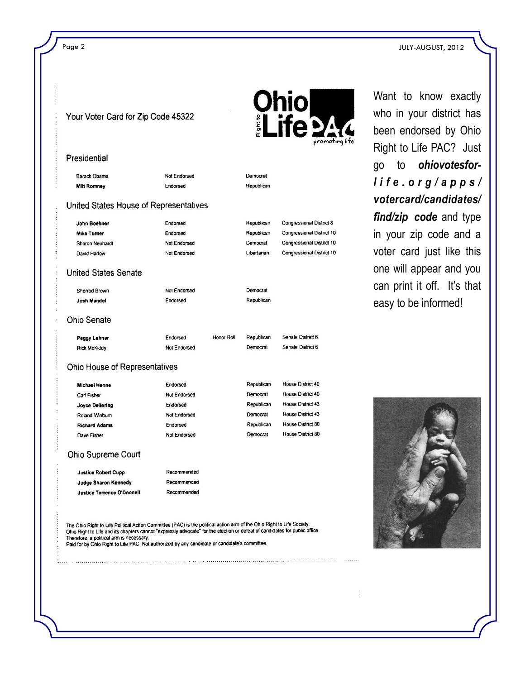| Your Voter Card for Zip Code 45322                                                                                     |                     |            | <b>Ohio<br/>¡Life 244</b><br>promoting lit. |                           |  |
|------------------------------------------------------------------------------------------------------------------------|---------------------|------------|---------------------------------------------|---------------------------|--|
| Presidential                                                                                                           |                     |            |                                             |                           |  |
| Barack Obama                                                                                                           | Not Endorsed        |            | Democrat                                    |                           |  |
| <b>Mitt Romney</b>                                                                                                     | Endorsed            |            | Republican                                  |                           |  |
| United States House of Representatives                                                                                 |                     |            |                                             |                           |  |
| John Boehner                                                                                                           | Endorsed            |            | Republican                                  | Congressional District 8  |  |
| <b>Mike Turner</b>                                                                                                     | Endorsed            |            | Republican                                  | Congressional District 10 |  |
| Sharon Neuhardt                                                                                                        | Not Endorsed        |            | Democrat                                    | Congressional District 10 |  |
| David Harlow                                                                                                           | Not Endorsed        |            | Libertarian                                 | Congressional District 10 |  |
| <b>United States Senate</b>                                                                                            |                     |            |                                             |                           |  |
| Sherrod Brown                                                                                                          | Not Endorsed        |            | Democrat                                    |                           |  |
| Josh Mandel                                                                                                            | Endorsed            |            | Republican                                  |                           |  |
| <b>Ohio Senate</b>                                                                                                     |                     |            |                                             |                           |  |
| Peggy Lehner                                                                                                           | Endorsed            | Honor Roll | Republican                                  | Senate District 6         |  |
| <b>Rick McKiddy</b>                                                                                                    | Not Endorsed        |            | Democrat                                    | Senate District 6         |  |
| Ohio House of Representatives                                                                                          |                     |            |                                             |                           |  |
| <b>Michael Henne</b>                                                                                                   | Endorsed            |            | Republican                                  | House District 40         |  |
| Carl Fisher                                                                                                            | Not Endorsed        |            | Democrat                                    | House District 40         |  |
| <b>Joyce Deitering</b>                                                                                                 | Endorsed            |            | Republican                                  | House District 43         |  |
| Roland Winburn                                                                                                         | Not Endorsed        |            | Democrat                                    | House District 43         |  |
| <b>Richard Adams</b>                                                                                                   | Endorsed            |            | Republican                                  | House District 80         |  |
| Dave Fisher                                                                                                            | <b>Not Endorsed</b> |            | Democrat                                    | House District 80         |  |
| Ohio Supreme Court                                                                                                     |                     |            |                                             |                           |  |
| <b>Justice Robert Cupp</b>                                                                                             | Recommended         |            |                                             |                           |  |
| Judge Sharon Kennedy                                                                                                   | Recommended         |            |                                             |                           |  |
| Justice Terrence O'Donnell                                                                                             | Recommended         |            |                                             |                           |  |
| The Ohio Right to Life Political Action Committee (PAC) is the political action arm of the Ohio Right to Life Society. |                     |            |                                             |                           |  |

Want to know exactly who in your district has been endorsed by Ohio Right to Life PAC? Just go to *ohiovotesforl i f e . o r g / a p p s / votercard/candidates/ find/zip code* and type in your zip code and a voter card just like this one will appear and you can print it off. It's that easy to be informed!



 $\frac{1}{2}$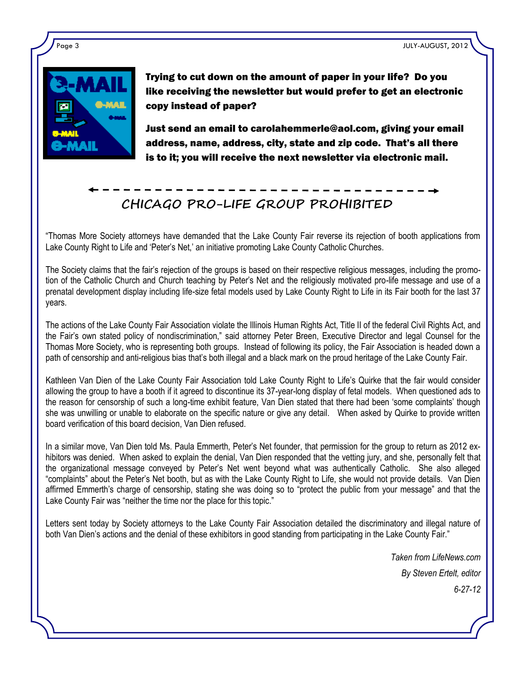

Trying to cut down on the amount of paper in your life? Do you like receiving the newsletter but would prefer to get an electronic copy instead of paper?

Just send an email to carolahemmerle@aol.com, giving your email address, name, address, city, state and zip code. That's all there is to it; you will receive the next newsletter via electronic mail.

# **CHICAGO PRO-LIFE GROUP PROHIBITED**

"Thomas More Society attorneys have demanded that the Lake County Fair reverse its rejection of booth applications from Lake County Right to Life and 'Peter's Net,' an initiative promoting Lake County Catholic Churches.

The Society claims that the fair's rejection of the groups is based on their respective religious messages, including the promotion of the Catholic Church and Church teaching by Peter's Net and the religiously motivated pro-life message and use of a prenatal development display including life-size fetal models used by Lake County Right to Life in its Fair booth for the last 37 years.

The actions of the Lake County Fair Association violate the Illinois Human Rights Act, Title II of the federal Civil Rights Act, and the Fair's own stated policy of nondiscrimination," said attorney Peter Breen, Executive Director and legal Counsel for the Thomas More Society, who is representing both groups. Instead of following its policy, the Fair Association is headed down a path of censorship and anti-religious bias that's both illegal and a black mark on the proud heritage of the Lake County Fair.

Kathleen Van Dien of the Lake County Fair Association told Lake County Right to Life's Quirke that the fair would consider allowing the group to have a booth if it agreed to discontinue its 37-year-long display of fetal models. When questioned ads to the reason for censorship of such a long-time exhibit feature, Van Dien stated that there had been 'some complaints' though she was unwilling or unable to elaborate on the specific nature or give any detail. When asked by Quirke to provide written board verification of this board decision, Van Dien refused.

In a similar move, Van Dien told Ms. Paula Emmerth, Peter's Net founder, that permission for the group to return as 2012 exhibitors was denied. When asked to explain the denial, Van Dien responded that the vetting jury, and she, personally felt that the organizational message conveyed by Peter's Net went beyond what was authentically Catholic. She also alleged "complaints" about the Peter's Net booth, but as with the Lake County Right to Life, she would not provide details. Van Dien affirmed Emmerth's charge of censorship, stating she was doing so to "protect the public from your message" and that the Lake County Fair was "neither the time nor the place for this topic."

Letters sent today by Society attorneys to the Lake County Fair Association detailed the discriminatory and illegal nature of both Van Dien's actions and the denial of these exhibitors in good standing from participating in the Lake County Fair."

> *Taken from LifeNews.com By Steven Ertelt, editor 6-27-12*